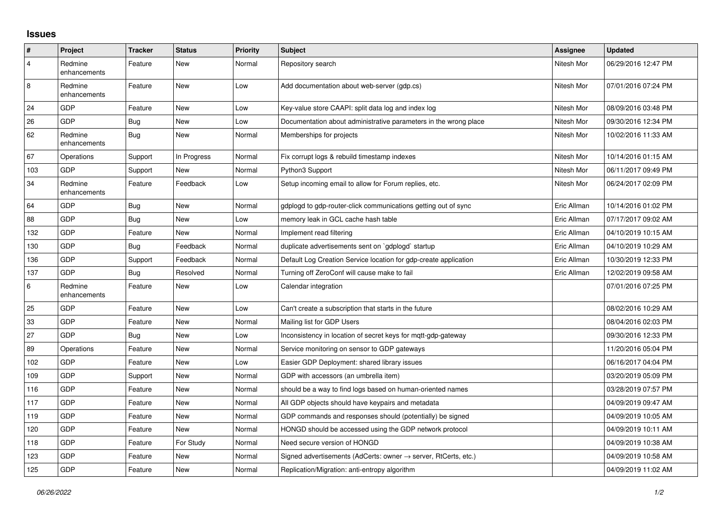## **Issues**

| $\pmb{\#}$     | Project                 | <b>Tracker</b> | <b>Status</b> | <b>Priority</b> | <b>Subject</b>                                                   | Assignee    | <b>Updated</b>      |
|----------------|-------------------------|----------------|---------------|-----------------|------------------------------------------------------------------|-------------|---------------------|
| $\overline{4}$ | Redmine<br>enhancements | Feature        | <b>New</b>    | Normal          | Repository search                                                | Nitesh Mor  | 06/29/2016 12:47 PM |
| 8              | Redmine<br>enhancements | Feature        | <b>New</b>    | Low             | Add documentation about web-server (gdp.cs)                      | Nitesh Mor  | 07/01/2016 07:24 PM |
| 24             | GDP                     | Feature        | <b>New</b>    | Low             | Key-value store CAAPI: split data log and index log              | Nitesh Mor  | 08/09/2016 03:48 PM |
| 26             | <b>GDP</b>              | Bug            | New           | Low             | Documentation about administrative parameters in the wrong place | Nitesh Mor  | 09/30/2016 12:34 PM |
| 62             | Redmine<br>enhancements | <b>Bug</b>     | New           | Normal          | Memberships for projects                                         | Nitesh Mor  | 10/02/2016 11:33 AM |
| 67             | Operations              | Support        | In Progress   | Normal          | Fix corrupt logs & rebuild timestamp indexes                     | Nitesh Mor  | 10/14/2016 01:15 AM |
| 103            | <b>GDP</b>              | Support        | <b>New</b>    | Normal          | Python3 Support                                                  | Nitesh Mor  | 06/11/2017 09:49 PM |
| 34             | Redmine<br>enhancements | Feature        | Feedback      | Low             | Setup incoming email to allow for Forum replies, etc.            | Nitesh Mor  | 06/24/2017 02:09 PM |
| 64             | GDP                     | Bug            | <b>New</b>    | Normal          | gdplogd to gdp-router-click communications getting out of sync   | Eric Allman | 10/14/2016 01:02 PM |
| 88             | <b>GDP</b>              | Bug            | <b>New</b>    | Low             | memory leak in GCL cache hash table                              | Eric Allman | 07/17/2017 09:02 AM |
| 132            | <b>GDP</b>              | Feature        | <b>New</b>    | Normal          | Implement read filtering                                         | Eric Allman | 04/10/2019 10:15 AM |
| 130            | GDP                     | Bug            | Feedback      | Normal          | duplicate advertisements sent on `gdplogd` startup               | Eric Allman | 04/10/2019 10:29 AM |
| 136            | <b>GDP</b>              | Support        | Feedback      | Normal          | Default Log Creation Service location for gdp-create application | Eric Allman | 10/30/2019 12:33 PM |
| 137            | <b>GDP</b>              | Bug            | Resolved      | Normal          | Turning off ZeroConf will cause make to fail                     | Eric Allman | 12/02/2019 09:58 AM |
| $\,6\,$        | Redmine<br>enhancements | Feature        | <b>New</b>    | Low             | Calendar integration                                             |             | 07/01/2016 07:25 PM |
| 25             | <b>GDP</b>              | Feature        | <b>New</b>    | Low             | Can't create a subscription that starts in the future            |             | 08/02/2016 10:29 AM |
| 33             | GDP                     | Feature        | <b>New</b>    | Normal          | Mailing list for GDP Users                                       |             | 08/04/2016 02:03 PM |
| 27             | <b>GDP</b>              | Bug            | New           | Low             | Inconsistency in location of secret keys for mgtt-gdp-gateway    |             | 09/30/2016 12:33 PM |
| 89             | Operations              | Feature        | <b>New</b>    | Normal          | Service monitoring on sensor to GDP gateways                     |             | 11/20/2016 05:04 PM |
| 102            | GDP                     | Feature        | <b>New</b>    | Low             | Easier GDP Deployment: shared library issues                     |             | 06/16/2017 04:04 PM |
| 109            | <b>GDP</b>              | Support        | New           | Normal          | GDP with accessors (an umbrella item)                            |             | 03/20/2019 05:09 PM |
| 116            | <b>GDP</b>              | Feature        | <b>New</b>    | Normal          | should be a way to find logs based on human-oriented names       |             | 03/28/2019 07:57 PM |
| 117            | GDP                     | Feature        | <b>New</b>    | Normal          | All GDP objects should have keypairs and metadata                |             | 04/09/2019 09:47 AM |
| 119            | <b>GDP</b>              | Feature        | <b>New</b>    | Normal          | GDP commands and responses should (potentially) be signed        |             | 04/09/2019 10:05 AM |
| 120            | GDP                     | Feature        | <b>New</b>    | Normal          | HONGD should be accessed using the GDP network protocol          |             | 04/09/2019 10:11 AM |
| 118            | GDP                     | Feature        | For Study     | Normal          | Need secure version of HONGD                                     |             | 04/09/2019 10:38 AM |
| 123            | GDP                     | Feature        | <b>New</b>    | Normal          | Signed advertisements (AdCerts: owner → server, RtCerts, etc.)   |             | 04/09/2019 10:58 AM |
| 125            | GDP                     | Feature        | <b>New</b>    | Normal          | Replication/Migration: anti-entropy algorithm                    |             | 04/09/2019 11:02 AM |